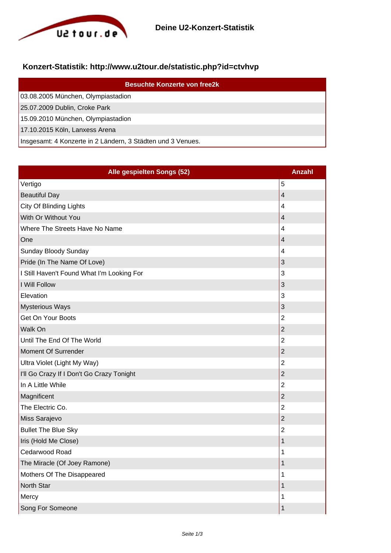

## **Konzert-Statistik: http://www.u2tour.de/statistic.php?id=ctvhvp**

| <b>Besuchte Konzerte von free2k</b>                         |
|-------------------------------------------------------------|
| 03.08.2005 München, Olympiastadion                          |
| 25.07.2009 Dublin, Croke Park                               |
| 15.09.2010 München, Olympiastadion                          |
| 17.10.2015 Köln, Lanxess Arena                              |
| Insgesamt: 4 Konzerte in 2 Ländern, 3 Städten und 3 Venues. |

| Alle gespielten Songs (52)                 | <b>Anzahl</b>           |
|--------------------------------------------|-------------------------|
| Vertigo                                    | 5                       |
| <b>Beautiful Day</b>                       | $\overline{\mathbf{4}}$ |
| City Of Blinding Lights                    | 4                       |
| With Or Without You                        | $\overline{4}$          |
| Where The Streets Have No Name             | $\overline{4}$          |
| One                                        | 4                       |
| Sunday Bloody Sunday                       | 4                       |
| Pride (In The Name Of Love)                | 3                       |
| I Still Haven't Found What I'm Looking For | 3                       |
| I Will Follow                              | 3                       |
| Elevation                                  | 3                       |
| <b>Mysterious Ways</b>                     | $\mathsf 3$             |
| Get On Your Boots                          | $\overline{2}$          |
| Walk On                                    | $\overline{2}$          |
| Until The End Of The World                 | $\overline{2}$          |
| Moment Of Surrender                        | $\overline{2}$          |
| Ultra Violet (Light My Way)                | $\overline{2}$          |
| I'll Go Crazy If I Don't Go Crazy Tonight  | $\overline{2}$          |
| In A Little While                          | $\overline{2}$          |
| Magnificent                                | $\overline{2}$          |
| The Electric Co.                           | $\overline{2}$          |
| Miss Sarajevo                              | $\overline{2}$          |
| <b>Bullet The Blue Sky</b>                 | $\overline{2}$          |
| Iris (Hold Me Close)                       | 1                       |
| Cedarwood Road                             | 1                       |
| The Miracle (Of Joey Ramone)               | $\mathbf 1$             |
| Mothers Of The Disappeared                 | 1                       |
| North Star                                 | 1                       |
| Mercy                                      | 1                       |
| Song For Someone                           | 1                       |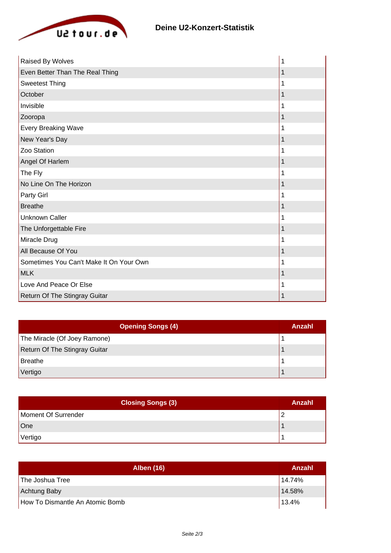

| Raised By Wolves                        |  |
|-----------------------------------------|--|
| Even Better Than The Real Thing         |  |
| <b>Sweetest Thing</b>                   |  |
| October                                 |  |
| Invisible                               |  |
| Zooropa                                 |  |
| Every Breaking Wave                     |  |
| New Year's Day                          |  |
| Zoo Station                             |  |
| Angel Of Harlem                         |  |
| The Fly                                 |  |
| No Line On The Horizon                  |  |
| Party Girl                              |  |
| <b>Breathe</b>                          |  |
| <b>Unknown Caller</b>                   |  |
| The Unforgettable Fire                  |  |
| Miracle Drug                            |  |
| All Because Of You                      |  |
| Sometimes You Can't Make It On Your Own |  |
| <b>MLK</b>                              |  |
| Love And Peace Or Else                  |  |
| Return Of The Stingray Guitar           |  |

| <b>Opening Songs (4)</b>             | Anzahl |
|--------------------------------------|--------|
| The Miracle (Of Joey Ramone)         |        |
| <b>Return Of The Stingray Guitar</b> |        |
| <b>Breathe</b>                       |        |
| Vertigo                              |        |

| <b>Closing Songs (3)</b> | Anzahl |
|--------------------------|--------|
| Moment Of Surrender      |        |
| One                      |        |
| Vertigo                  |        |

| <b>Alben (16)</b>               | Anzahl |
|---------------------------------|--------|
| The Joshua Tree                 | 14.74% |
| Achtung Baby                    | 14.58% |
| How To Dismantle An Atomic Bomb | 13.4%  |